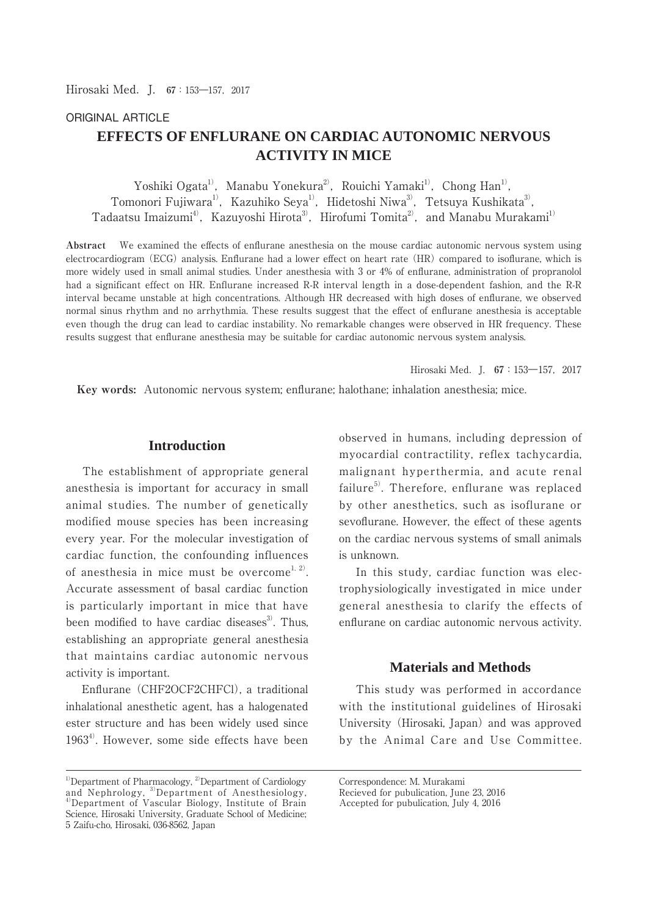# ORIGINAL ARTICLE

# **EFFECTS OF ENFLURANE ON CARDIAC AUTONOMIC NERVOUS ACTIVITY IN MICE**

Yoshiki Ogata<sup>1)</sup>, Manabu Yonekura<sup>2)</sup>, Rouichi Yamaki<sup>1)</sup>, Chong Han<sup>1)</sup>, Tomonori Fujiwara<sup>1)</sup>, Kazuhiko Seya<sup>1)</sup>, Hidetoshi Niwa<sup>3)</sup>, Tetsuya Kushikata<sup>3)</sup>, Tadaatsu Imaizumi<sup>4)</sup>, Kazuyoshi Hirota<sup>3)</sup>, Hirofumi Tomita<sup>2)</sup>, and Manabu Murakami<sup>1)</sup>

**Abstract** We examined the effects of enflurane anesthesia on the mouse cardiac autonomic nervous system using electrocardiogram (ECG) analysis. Enflurane had a lower effect on heart rate (HR) compared to isoflurane, which is more widely used in small animal studies. Under anesthesia with 3 or 4% of enflurane, administration of propranolol had a significant effect on HR. Enflurane increased R-R interval length in a dose-dependent fashion, and the R-R interval became unstable at high concentrations. Although HR decreased with high doses of enflurane, we observed normal sinus rhythm and no arrhythmia. These results suggest that the effect of enflurane anesthesia is acceptable even though the drug can lead to cardiac instability. No remarkable changes were observed in HR frequency. These results suggest that enflurane anesthesia may be suitable for cardiac autonomic nervous system analysis.

Hirosaki Med.J. **67**:153―157,2017

 **Key words:** Autonomic nervous system; enflurane; halothane; inhalation anesthesia; mice.

# **Introduction**

 The establishment of appropriate general anesthesia is important for accuracy in small animal studies. The number of genetically modified mouse species has been increasing every year. For the molecular investigation of cardiac function, the confounding influences of anesthesia in mice must be overcome<sup>1, 2)</sup>. Accurate assessment of basal cardiac function is particularly important in mice that have been modified to have cardiac diseases $3$ . Thus, establishing an appropriate general anesthesia that maintains cardiac autonomic nervous activity is important.

 Enflurane (CHF2OCF2CHFCl), a traditional inhalational anesthetic agent, has a halogenated ester structure and has been widely used since  $1963<sup>4</sup>$ . However, some side effects have been

 $1)$ Department of Pharmacology,  $2$ Department of Cardiology and Nephrology, <sup>3)</sup>Department of Anesthesiology, 4)Department of Vascular Biology, Institute of Brain Science, Hirosaki University, Graduate School of Medicine; 5 Zaifu-cho, Hirosaki, 036-8562, Japan

observed in humans, including depression of myocardial contractility, reflex tachycardia, malignant hyperthermia, and acute renal failure $5$ . Therefore, enflurane was replaced by other anesthetics, such as isoflurane or sevoflurane. However, the effect of these agents on the cardiac nervous systems of small animals is unknown.

 In this study, cardiac function was electrophysiologically investigated in mice under general anesthesia to clarify the effects of enflurane on cardiac autonomic nervous activity.

# **Materials and Methods**

 This study was performed in accordance with the institutional guidelines of Hirosaki University (Hirosaki, Japan) and was approved by the Animal Care and Use Committee.

Correspondence: M. Murakami Recieved for pubulication, June 23, 2016 Accepted for pubulication, July 4, 2016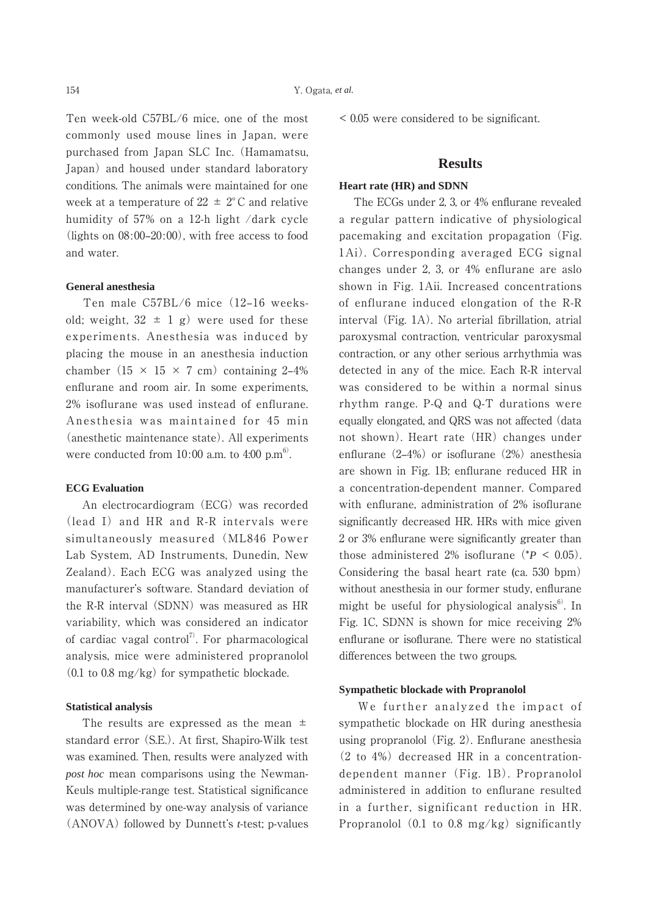Ten week-old C57BL/6 mice, one of the most commonly used mouse lines in Japan, were purchased from Japan SLC Inc. (Hamamatsu, Japan) and housed under standard laboratory conditions. The animals were maintained for one week at a temperature of  $22 \pm 2^{\circ}$ C and relative humidity of 57% on a 12-h light /dark cycle (lights on  $08:00-20:00$ ), with free access to food and water.

#### **General anesthesia**

Ten male C57BL/6 mice (12-16 weeksold; weight,  $32 \pm 1$  g) were used for these experiments. Anesthesia was induced by placing the mouse in an anesthesia induction chamber  $(15 \times 15 \times 7 \text{ cm})$  containing 2-4% enflurane and room air. In some experiments, 2% isoflurane was used instead of enflurane. Anesthesia was maintained for 45 min (anesthetic maintenance state). All experiments were conducted from 10:00 a.m. to 4:00  $p.m<sup>6</sup>$ .

#### **ECG Evaluation**

 An electrocardiogram (ECG) was recorded (lead I) and HR and R-R intervals were simultaneously measured (ML846 Power Lab System, AD Instruments, Dunedin, New Zealand). Each ECG was analyzed using the manufacturer's software. Standard deviation of the R-R interval (SDNN) was measured as HR variability, which was considered an indicator of cardiac vagal control<sup>7)</sup>. For pharmacological analysis, mice were administered propranolol (0.1 to 0.8 mg/kg) for sympathetic blockade.

## **Statistical analysis**

The results are expressed as the mean  $\pm$ standard error (S.E.). At first, Shapiro-Wilk test was examined. Then, results were analyzed with *post hoc* mean comparisons using the Newman-Keuls multiple-range test. Statistical significance was determined by one-way analysis of variance (ANOVA) followed by Dunnett's *t*-test; p-values < 0.05 were considered to be significant.

## **Results**

## **Heart rate (HR) and SDNN**

 The ECGs under 2, 3, or 4% enflurane revealed a regular pattern indicative of physiological pacemaking and excitation propagation (Fig. 1Ai). Corresponding averaged ECG signal changes under 2, 3, or 4% enflurane are aslo shown in Fig. 1Aii. Increased concentrations of enflurane induced elongation of the R-R interval (Fig. 1A). No arterial fibrillation, atrial paroxysmal contraction, ventricular paroxysmal contraction, or any other serious arrhythmia was detected in any of the mice. Each R-R interval was considered to be within a normal sinus rhythm range. P-Q and Q-T durations were equally elongated, and QRS was not affected (data not shown). Heart rate (HR) changes under enflurane  $(2-4\%)$  or isoflurane  $(2\%)$  anesthesia are shown in Fig. 1B; enflurane reduced HR in a concentration-dependent manner. Compared with enflurane, administration of 2% isoflurane significantly decreased HR. HRs with mice given 2 or 3% enflurane were significantly greater than those administered 2% isoflurane  $({}^*P < 0.05)$ . Considering the basal heart rate (ca. 530 bpm) without anesthesia in our former study, enflurane might be useful for physiological analysis $^{6}$ . In Fig. 1C, SDNN is shown for mice receiving 2% enflurane or isoflurane. There were no statistical differences between the two groups.

#### **Sympathetic blockade with Propranolol**

 We further analyzed the impact of sympathetic blockade on HR during anesthesia using propranolol (Fig. 2). Enflurane anesthesia (2 to 4%) decreased HR in a concentrationdependent manner (Fig. 1B). Propranolol administered in addition to enflurane resulted in a further, significant reduction in HR. Propranolol  $(0.1 \text{ to } 0.8 \text{ mg/kg})$  significantly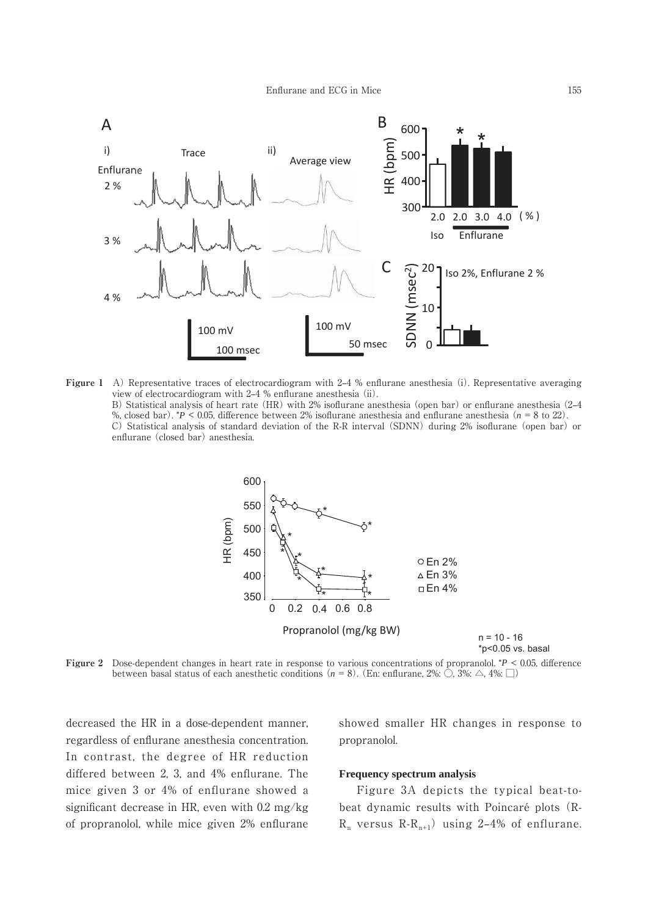

**Figure 1** A) Representative traces of electrocardiogram with 2–4 % enflurane anesthesia (i). Representative averaging view of electrocardiogram with 2–4 % enflurane anesthesia (ii). B) Statistical analysis of heart rate (HR) with 2% isoflurane anesthesia (open bar) or enflurane anesthesia (2–4 %, closed bar). \**P* < 0.05, difference between 2% isoflurane anesthesia and enflurane anesthesia (*n* = 8 to 22). C) Statistical analysis of standard deviation of the R-R interval(SDNN) during 2% isoflurane (open bar) or enflurane (closed bar) anesthesia.



**Figure 2** Dose-dependent changes in heart rate in response to various concentrations of propranolol. \**P* < 0.05, difference between basal status of each anesthetic conditions  $(n = 8)$ . (En: enflurane, 2%:  $\bigcirc$ , 3%:  $\bigcirc$ , 4%:  $\bigcirc$ )

decreased the HR in a dose-dependent manner, regardless of enflurane anesthesia concentration. In contrast, the degree of HR reduction differed between 2, 3, and 4% enflurane. The mice given 3 or 4% of enflurane showed a significant decrease in HR, even with 0.2 mg/kg of propranolol, while mice given 2% enflurane

showed smaller HR changes in response to propranolol.

#### **Frequency spectrum analysis**

 Figure 3A depicts the typical beat-tobeat dynamic results with Poincaré plots (R- $R_n$  versus  $R-R_{n+1}$ ) using 2-4% of enflurane.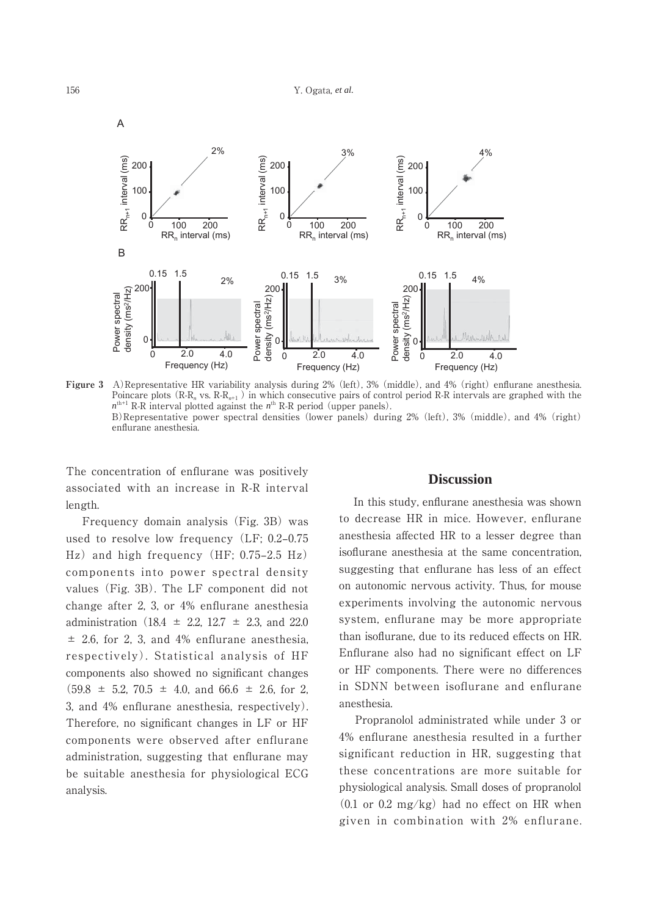

**Figure 3** A)Representative HR variability analysis during 2% (left), 3% (middle), and 4% (right) enflurane anesthesia. Poincare plots (R-R<sub>n</sub> vs. R-R<sub>n+1</sub>) in which consecutive pairs of control period R-R intervals are graphed with the  $n^{\text{th+1}}$  R-R interval plotted against the  $n^{\text{th}}$  R-R period (upper panels). B)Representative power spectral densities (lower panels) during 2% (left), 3% (middle), and 4% (right) enflurane anesthesia.

The concentration of enflurane was positively associated with an increase in R-R interval length.

 Frequency domain analysis (Fig. 3B) was used to resolve low frequency (LF; 0.2-0.75)  $\text{Hz}$ ) and high frequency (HF; 0.75–2.5 Hz) components into power spectral density values (Fig. 3B). The LF component did not change after 2, 3, or 4% enflurane anesthesia administration (18.4  $\pm$  2.2, 12.7  $\pm$  2.3, and 22.0  $\pm$  2.6, for 2, 3, and 4% enflurane anesthesia, respectively). Statistical analysis of HF components also showed no significant changes  $(59.8 \pm 5.2, 70.5 \pm 4.0, \text{ and } 66.6 \pm 2.6, \text{ for } 2,$ 3, and 4% enflurane anesthesia, respectively). Therefore, no significant changes in LF or HF components were observed after enflurane administration, suggesting that enflurane may be suitable anesthesia for physiological ECG analysis.

## **Discussion**

 In this study, enflurane anesthesia was shown to decrease HR in mice. However, enflurane anesthesia affected HR to a lesser degree than isoflurane anesthesia at the same concentration, suggesting that enflurane has less of an effect on autonomic nervous activity. Thus, for mouse experiments involving the autonomic nervous system, enflurane may be more appropriate than isoflurane, due to its reduced effects on HR. Enflurane also had no significant effect on LF or HF components. There were no differences in SDNN between isoflurane and enflurane anesthesia.

 Propranolol administrated while under 3 or 4% enflurane anesthesia resulted in a further significant reduction in HR, suggesting that these concentrations are more suitable for physiological analysis. Small doses of propranolol  $(0.1 \text{ or } 0.2 \text{ mg/kg})$  had no effect on HR when given in combination with 2% enflurane.